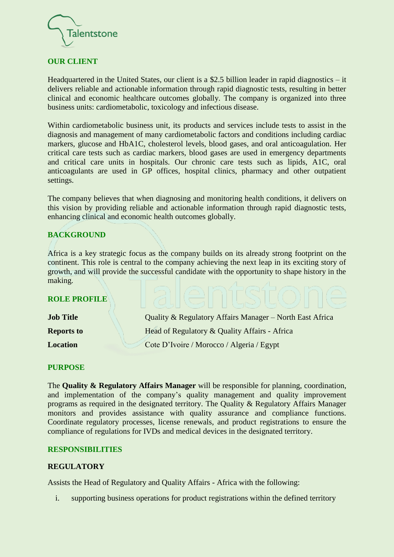

## **OUR CLIENT**

Headquartered in the United States, our client is a \$2.5 billion leader in rapid diagnostics – it delivers reliable and actionable information through rapid diagnostic tests, resulting in better clinical and economic healthcare outcomes globally. The company is organized into three business units: cardiometabolic, toxicology and infectious disease.

Within cardiometabolic business unit, its products and services include tests to assist in the diagnosis and management of many cardiometabolic factors and conditions including cardiac markers, glucose and HbA1C, cholesterol levels, blood gases, and oral anticoagulation. Her critical care tests such as cardiac markers, blood gases are used in emergency departments and critical care units in hospitals. Our chronic care tests such as lipids, A1C, oral anticoagulants are used in GP offices, hospital clinics, pharmacy and other outpatient settings.

The company believes that when diagnosing and monitoring health conditions, it delivers on this vision by providing reliable and actionable information through rapid diagnostic tests, enhancing clinical and economic health outcomes globally.

## **BACKGROUND**

Africa is a key strategic focus as the company builds on its already strong footprint on the continent. This role is central to the company achieving the next leap in its exciting story of growth, and will provide the successful candidate with the opportunity to shape history in the making.

## **ROLE PROFILE**

| <b>Job Title</b>  | Quality & Regulatory Affairs Manager – North East Africa |
|-------------------|----------------------------------------------------------|
| <b>Reports to</b> | Head of Regulatory & Quality Affairs - Africa            |
| <b>Location</b>   | Cote D'Ivoire / Morocco / Algeria / Egypt                |

## **PURPOSE**

The **Quality & Regulatory Affairs Manager** will be responsible for planning, coordination, and implementation of the company's quality management and quality improvement programs as required in the designated territory. The Quality & Regulatory Affairs Manager monitors and provides assistance with quality assurance and compliance functions. Coordinate regulatory processes, license renewals, and product registrations to ensure the compliance of regulations for IVDs and medical devices in the designated territory.

## **RESPONSIBILITIES**

## **REGULATORY**

Assists the Head of Regulatory and Quality Affairs - Africa with the following:

i. supporting business operations for product registrations within the defined territory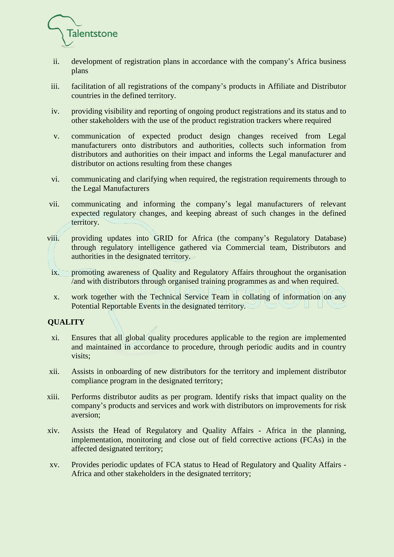

- ii. development of registration plans in accordance with the company's Africa business plans
- iii. facilitation of all registrations of the company's products in Affiliate and Distributor countries in the defined territory.
- iv. providing visibility and reporting of ongoing product registrations and its status and to other stakeholders with the use of the product registration trackers where required
- v. communication of expected product design changes received from Legal manufacturers onto distributors and authorities, collects such information from distributors and authorities on their impact and informs the Legal manufacturer and distributor on actions resulting from these changes
- vi. communicating and clarifying when required, the registration requirements through to the Legal Manufacturers
- vii. communicating and informing the company's legal manufacturers of relevant expected regulatory changes, and keeping abreast of such changes in the defined territory.
- viii. providing updates into GRID for Africa (the company's Regulatory Database) through regulatory intelligence gathered via Commercial team, Distributors and authorities in the designated territory.
- ix. promoting awareness of Quality and Regulatory Affairs throughout the organisation /and with distributors through organised training programmes as and when required.
- x. work together with the Technical Service Team in collating of information on any Potential Reportable Events in the designated territory.

## **QUALITY**

- xi. Ensures that all global quality procedures applicable to the region are implemented and maintained in accordance to procedure, through periodic audits and in country visits;
- xii. Assists in onboarding of new distributors for the territory and implement distributor compliance program in the designated territory;
- xiii. Performs distributor audits as per program. Identify risks that impact quality on the company's products and services and work with distributors on improvements for risk aversion;
- xiv. Assists the Head of Regulatory and Quality Affairs Africa in the planning, implementation, monitoring and close out of field corrective actions (FCAs) in the affected designated territory;
- xv. Provides periodic updates of FCA status to Head of Regulatory and Quality Affairs Africa and other stakeholders in the designated territory;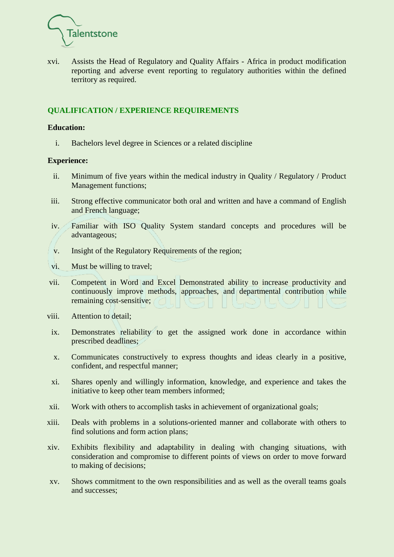

xvi. Assists the Head of Regulatory and Quality Affairs - Africa in product modification reporting and adverse event reporting to regulatory authorities within the defined territory as required.

## **QUALIFICATION / EXPERIENCE REQUIREMENTS**

#### **Education:**

i. Bachelors level degree in Sciences or a related discipline

#### **Experience:**

- ii. Minimum of five years within the medical industry in Quality / Regulatory / Product Management functions;
- iii. Strong effective communicator both oral and written and have a command of English and French language;
- iv. Familiar with ISO Quality System standard concepts and procedures will be advantageous;
- v. Insight of the Regulatory Requirements of the region;
- vi. Must be willing to travel;
- vii. Competent in Word and Excel Demonstrated ability to increase productivity and continuously improve methods, approaches, and departmental contribution while remaining cost-sensitive;
- viii. Attention to detail;
- ix. Demonstrates reliability to get the assigned work done in accordance within prescribed deadlines;
- x. Communicates constructively to express thoughts and ideas clearly in a positive, confident, and respectful manner;
- xi. Shares openly and willingly information, knowledge, and experience and takes the initiative to keep other team members informed;
- xii. Work with others to accomplish tasks in achievement of organizational goals;
- xiii. Deals with problems in a solutions-oriented manner and collaborate with others to find solutions and form action plans;
- xiv. Exhibits flexibility and adaptability in dealing with changing situations, with consideration and compromise to different points of views on order to move forward to making of decisions;
- xv. Shows commitment to the own responsibilities and as well as the overall teams goals and successes;